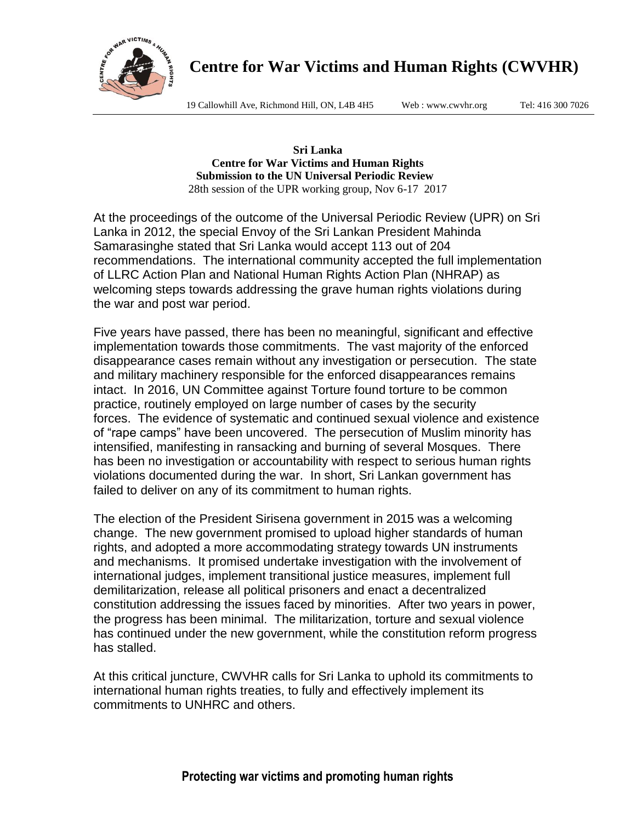

19 Callowhill Ave, Richmond Hill, ON, L4B 4H5 Web : www.cwvhr.org Tel: 416 300 7026

**Sri Lanka Centre for War Victims and Human Rights Submission to the UN Universal Periodic Review**  28th session of the UPR working group, Nov 6-17 2017

At the proceedings of the outcome of the Universal Periodic Review (UPR) on Sri Lanka in 2012, the special Envoy of the Sri Lankan President Mahinda Samarasinghe stated that Sri Lanka would accept 113 out of 204 recommendations. The international community accepted the full implementation of LLRC Action Plan and National Human Rights Action Plan (NHRAP) as welcoming steps towards addressing the grave human rights violations during the war and post war period.

Five years have passed, there has been no meaningful, significant and effective implementation towards those commitments. The vast majority of the enforced disappearance cases remain without any investigation or persecution. The state and military machinery responsible for the enforced disappearances remains intact. In 2016, UN Committee against Torture found torture to be common practice, routinely employed on large number of cases by the security forces. The evidence of systematic and continued sexual violence and existence of "rape camps" have been uncovered. The persecution of Muslim minority has intensified, manifesting in ransacking and burning of several Mosques. There has been no investigation or accountability with respect to serious human rights violations documented during the war. In short, Sri Lankan government has failed to deliver on any of its commitment to human rights.

The election of the President Sirisena government in 2015 was a welcoming change. The new government promised to upload higher standards of human rights, and adopted a more accommodating strategy towards UN instruments and mechanisms. It promised undertake investigation with the involvement of international judges, implement transitional justice measures, implement full demilitarization, release all political prisoners and enact a decentralized constitution addressing the issues faced by minorities. After two years in power, the progress has been minimal. The militarization, torture and sexual violence has continued under the new government, while the constitution reform progress has stalled.

At this critical juncture, CWVHR calls for Sri Lanka to uphold its commitments to international human rights treaties, to fully and effectively implement its commitments to UNHRC and others.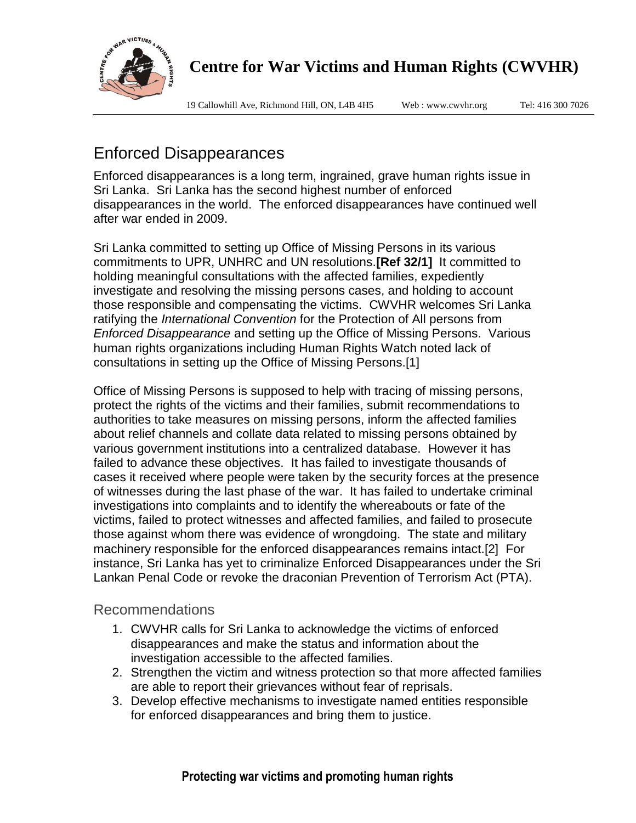

19 Callowhill Ave, Richmond Hill, ON, L4B 4H5 Web : www.cwvhr.org Tel: 416 300 7026

# Enforced Disappearances

Enforced disappearances is a long term, ingrained, grave human rights issue in Sri Lanka. Sri Lanka has the second highest number of enforced disappearances in the world. The enforced disappearances have continued well after war ended in 2009.

Sri Lanka committed to setting up Office of Missing Persons in its various commitments to UPR, UNHRC and UN resolutions.**[Ref 32/1]** It committed to holding meaningful consultations with the affected families, expediently investigate and resolving the missing persons cases, and holding to account those responsible and compensating the victims. CWVHR welcomes Sri Lanka ratifying the *International Convention* for the Protection of All persons from *Enforced Disappearance* and setting up the Office of Missing Persons. Various human rights organizations including Human Rights Watch noted lack of consultations in setting up the Office of Missing Persons.[1]

Office of Missing Persons is supposed to help with tracing of missing persons, protect the rights of the victims and their families, submit recommendations to authorities to take measures on missing persons, inform the affected families about relief channels and collate data related to missing persons obtained by various government institutions into a centralized database. However it has failed to advance these objectives. It has failed to investigate thousands of cases it received where people were taken by the security forces at the presence of witnesses during the last phase of the war. It has failed to undertake criminal investigations into complaints and to identify the whereabouts or fate of the victims, failed to protect witnesses and affected families, and failed to prosecute those against whom there was evidence of wrongdoing. The state and military machinery responsible for the enforced disappearances remains intact.[2] For instance, Sri Lanka has yet to criminalize Enforced Disappearances under the Sri Lankan Penal Code or revoke the draconian Prevention of Terrorism Act (PTA).

#### Recommendations

- 1. CWVHR calls for Sri Lanka to acknowledge the victims of enforced disappearances and make the status and information about the investigation accessible to the affected families.
- 2. Strengthen the victim and witness protection so that more affected families are able to report their grievances without fear of reprisals.
- 3. Develop effective mechanisms to investigate named entities responsible for enforced disappearances and bring them to justice.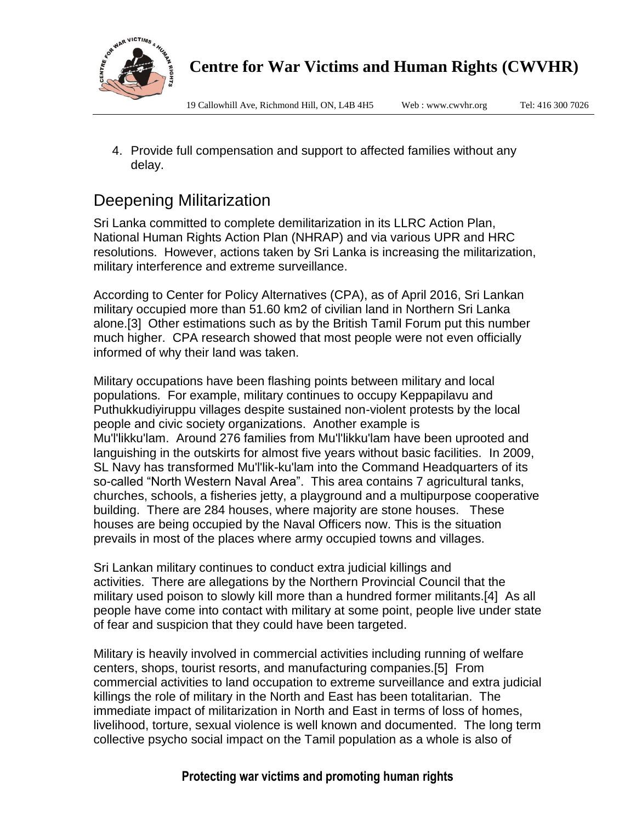

19 Callowhill Ave, Richmond Hill, ON, L4B 4H5 Web : www.cwvhr.org Tel: 416 300 7026

4. Provide full compensation and support to affected families without any delay.

# Deepening Militarization

Sri Lanka committed to complete demilitarization in its LLRC Action Plan, National Human Rights Action Plan (NHRAP) and via various UPR and HRC resolutions. However, actions taken by Sri Lanka is increasing the militarization, military interference and extreme surveillance.

According to Center for Policy Alternatives (CPA), as of April 2016, Sri Lankan military occupied more than 51.60 km2 of civilian land in Northern Sri Lanka alone.[3] Other estimations such as by the British Tamil Forum put this number much higher. CPA research showed that most people were not even officially informed of why their land was taken.

Military occupations have been flashing points between military and local populations. For example, military continues to occupy Keppapilavu and Puthukkudiyiruppu villages despite sustained non-violent protests by the local people and civic society organizations. Another example is Mu'l'likku'lam. Around 276 families from Mu'l'likku'lam have been uprooted and languishing in the outskirts for almost five years without basic facilities. In 2009, SL Navy has transformed Mu'l'lik-ku'lam into the Command Headquarters of its so-called "North Western Naval Area". This area contains 7 agricultural tanks, churches, schools, a fisheries jetty, a playground and a multipurpose cooperative building. There are 284 houses, where majority are stone houses. These houses are being occupied by the Naval Officers now. This is the situation prevails in most of the places where army occupied towns and villages.

Sri Lankan military continues to conduct extra judicial killings and activities. There are allegations by the Northern Provincial Council that the military used poison to slowly kill more than a hundred former militants.[4] As all people have come into contact with military at some point, people live under state of fear and suspicion that they could have been targeted.

Military is heavily involved in commercial activities including running of welfare centers, shops, tourist resorts, and manufacturing companies.[5] From commercial activities to land occupation to extreme surveillance and extra judicial killings the role of military in the North and East has been totalitarian. The immediate impact of militarization in North and East in terms of loss of homes, livelihood, torture, sexual violence is well known and documented. The long term collective psycho social impact on the Tamil population as a whole is also of

#### **Protecting war victims and promoting human rights**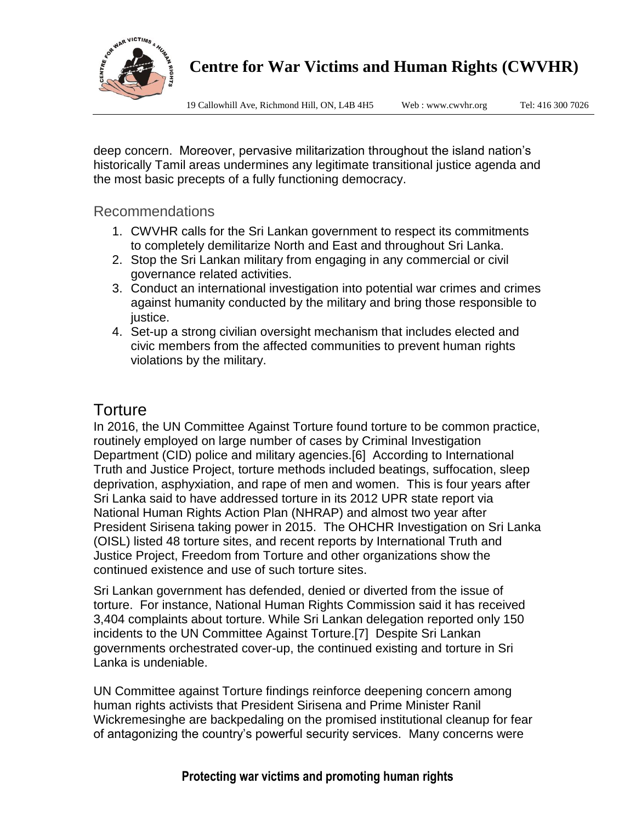

19 Callowhill Ave, Richmond Hill, ON, L4B 4H5 Web : www.cwvhr.org Tel: 416 300 7026

deep concern. Moreover, pervasive militarization throughout the island nation's historically Tamil areas undermines any legitimate transitional justice agenda and the most basic precepts of a fully functioning democracy.

#### Recommendations

- 1. CWVHR calls for the Sri Lankan government to respect its commitments to completely demilitarize North and East and throughout Sri Lanka.
- 2. Stop the Sri Lankan military from engaging in any commercial or civil governance related activities.
- 3. Conduct an international investigation into potential war crimes and crimes against humanity conducted by the military and bring those responsible to justice.
- 4. Set-up a strong civilian oversight mechanism that includes elected and civic members from the affected communities to prevent human rights violations by the military.

#### **Torture**

In 2016, the UN Committee Against Torture found torture to be common practice, routinely employed on large number of cases by Criminal Investigation Department (CID) police and military agencies.[6] According to International Truth and Justice Project, torture methods included beatings, suffocation, sleep deprivation, asphyxiation, and rape of men and women. This is four years after Sri Lanka said to have addressed torture in its 2012 UPR state report via National Human Rights Action Plan (NHRAP) and almost two year after President Sirisena taking power in 2015. The OHCHR Investigation on Sri Lanka (OISL) listed 48 torture sites, and recent reports by International Truth and Justice Project, Freedom from Torture and other organizations show the continued existence and use of such torture sites.

Sri Lankan government has defended, denied or diverted from the issue of torture. For instance, National Human Rights Commission said it has received 3,404 complaints about torture. While Sri Lankan delegation reported only 150 incidents to the UN Committee Against Torture.[7] Despite Sri Lankan governments orchestrated cover-up, the continued existing and torture in Sri Lanka is undeniable.

UN Committee against Torture findings reinforce deepening concern among human rights activists that President Sirisena and Prime Minister Ranil Wickremesinghe are backpedaling on the promised institutional cleanup for fear of antagonizing the country's powerful security services. Many concerns were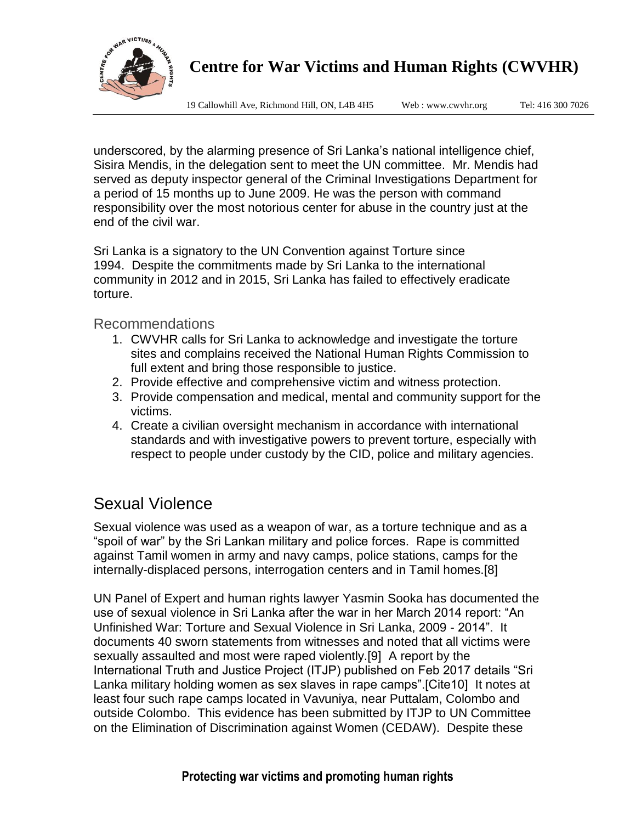

19 Callowhill Ave, Richmond Hill, ON, L4B 4H5 Web : www.cwvhr.org Tel: 416 300 7026

underscored, by the alarming presence of Sri Lanka's national intelligence chief, Sisira Mendis, in the delegation sent to meet the UN committee. Mr. Mendis had served as deputy inspector general of the Criminal Investigations Department for a period of 15 months up to June 2009. He was the person with command responsibility over the most notorious center for abuse in the country just at the end of the civil war.

Sri Lanka is a signatory to the UN Convention against Torture since 1994. Despite the commitments made by Sri Lanka to the international community in 2012 and in 2015, Sri Lanka has failed to effectively eradicate torture.

Recommendations

- 1. CWVHR calls for Sri Lanka to acknowledge and investigate the torture sites and complains received the National Human Rights Commission to full extent and bring those responsible to justice.
- 2. Provide effective and comprehensive victim and witness protection.
- 3. Provide compensation and medical, mental and community support for the victims.
- 4. Create a civilian oversight mechanism in accordance with international standards and with investigative powers to prevent torture, especially with respect to people under custody by the CID, police and military agencies.

## Sexual Violence

Sexual violence was used as a weapon of war, as a torture technique and as a "spoil of war" by the Sri Lankan military and police forces. Rape is committed against Tamil women in army and navy camps, police stations, camps for the internally-displaced persons, interrogation centers and in Tamil homes.[8]

UN Panel of Expert and human rights lawyer Yasmin Sooka has documented the use of sexual violence in Sri Lanka after the war in her March 2014 report: "An Unfinished War: Torture and Sexual Violence in Sri Lanka, 2009 - 2014". It documents 40 sworn statements from witnesses and noted that all victims were sexually assaulted and most were raped violently.[9] A report by the International Truth and Justice Project (ITJP) published on Feb 2017 details "Sri Lanka military holding women as sex slaves in rape camps".[Cite10] It notes at least four such rape camps located in Vavuniya, near Puttalam, Colombo and outside Colombo. This evidence has been submitted by ITJP to UN Committee on the Elimination of Discrimination against Women (CEDAW). Despite these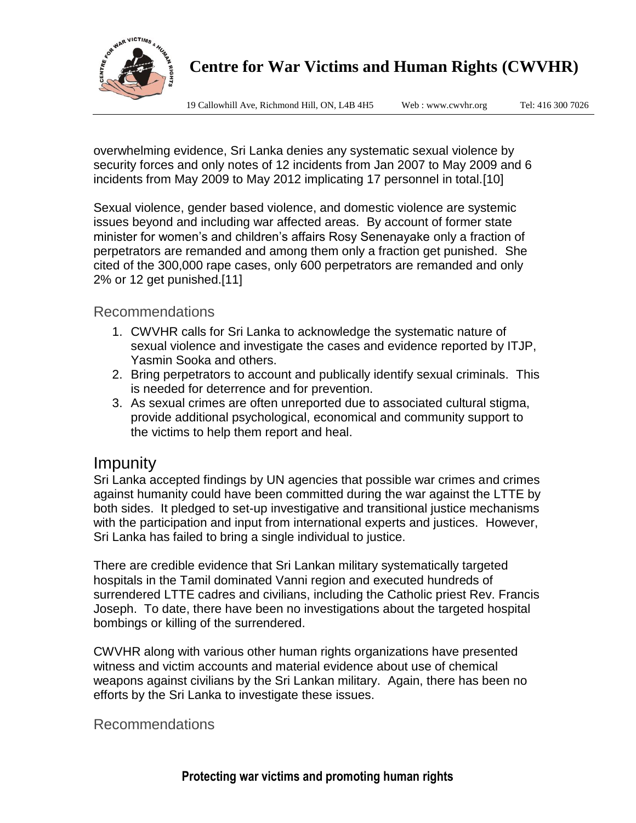

19 Callowhill Ave, Richmond Hill, ON, L4B 4H5 Web : www.cwvhr.org Tel: 416 300 7026

overwhelming evidence, Sri Lanka denies any systematic sexual violence by security forces and only notes of 12 incidents from Jan 2007 to May 2009 and 6 incidents from May 2009 to May 2012 implicating 17 personnel in total.[10]

Sexual violence, gender based violence, and domestic violence are systemic issues beyond and including war affected areas. By account of former state minister for women's and children's affairs Rosy Senenayake only a fraction of perpetrators are remanded and among them only a fraction get punished. She cited of the 300,000 rape cases, only 600 perpetrators are remanded and only 2% or 12 get punished.[11]

Recommendations

- 1. CWVHR calls for Sri Lanka to acknowledge the systematic nature of sexual violence and investigate the cases and evidence reported by ITJP, Yasmin Sooka and others.
- 2. Bring perpetrators to account and publically identify sexual criminals. This is needed for deterrence and for prevention.
- 3. As sexual crimes are often unreported due to associated cultural stigma, provide additional psychological, economical and community support to the victims to help them report and heal.

#### Impunity

Sri Lanka accepted findings by UN agencies that possible war crimes and crimes against humanity could have been committed during the war against the LTTE by both sides. It pledged to set-up investigative and transitional justice mechanisms with the participation and input from international experts and justices. However, Sri Lanka has failed to bring a single individual to justice.

There are credible evidence that Sri Lankan military systematically targeted hospitals in the Tamil dominated Vanni region and executed hundreds of surrendered LTTE cadres and civilians, including the Catholic priest Rev. Francis Joseph. To date, there have been no investigations about the targeted hospital bombings or killing of the surrendered.

CWVHR along with various other human rights organizations have presented witness and victim accounts and material evidence about use of chemical weapons against civilians by the Sri Lankan military. Again, there has been no efforts by the Sri Lanka to investigate these issues.

Recommendations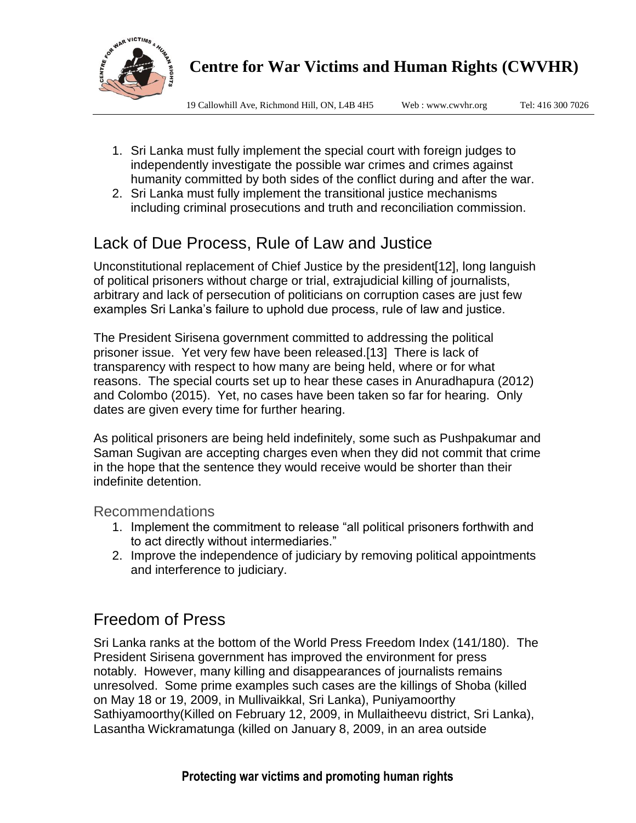

19 Callowhill Ave, Richmond Hill, ON, L4B 4H5 Web : www.cwvhr.org Tel: 416 300 7026

- 1. Sri Lanka must fully implement the special court with foreign judges to independently investigate the possible war crimes and crimes against humanity committed by both sides of the conflict during and after the war.
- 2. Sri Lanka must fully implement the transitional justice mechanisms including criminal prosecutions and truth and reconciliation commission.

# Lack of Due Process, Rule of Law and Justice

Unconstitutional replacement of Chief Justice by the president[12], long languish of political prisoners without charge or trial, extrajudicial killing of journalists, arbitrary and lack of persecution of politicians on corruption cases are just few examples Sri Lanka's failure to uphold due process, rule of law and justice.

The President Sirisena government committed to addressing the political prisoner issue. Yet very few have been released.[13] There is lack of transparency with respect to how many are being held, where or for what reasons. The special courts set up to hear these cases in Anuradhapura (2012) and Colombo (2015). Yet, no cases have been taken so far for hearing. Only dates are given every time for further hearing.

As political prisoners are being held indefinitely, some such as Pushpakumar and Saman Sugivan are accepting charges even when they did not commit that crime in the hope that the sentence they would receive would be shorter than their indefinite detention.

Recommendations

- 1. Implement the commitment to release "all political prisoners forthwith and to act directly without intermediaries."
- 2. Improve the independence of judiciary by removing political appointments and interference to judiciary.

# Freedom of Press

Sri Lanka ranks at the bottom of the World Press Freedom Index (141/180). The President Sirisena government has improved the environment for press notably. However, many killing and disappearances of journalists remains unresolved. Some prime examples such cases are the killings of Shoba (killed on May 18 or 19, 2009, in Mullivaikkal, Sri Lanka), Puniyamoorthy Sathiyamoorthy(Killed on February 12, 2009, in Mullaitheevu district, Sri Lanka), Lasantha Wickramatunga (killed on January 8, 2009, in an area outside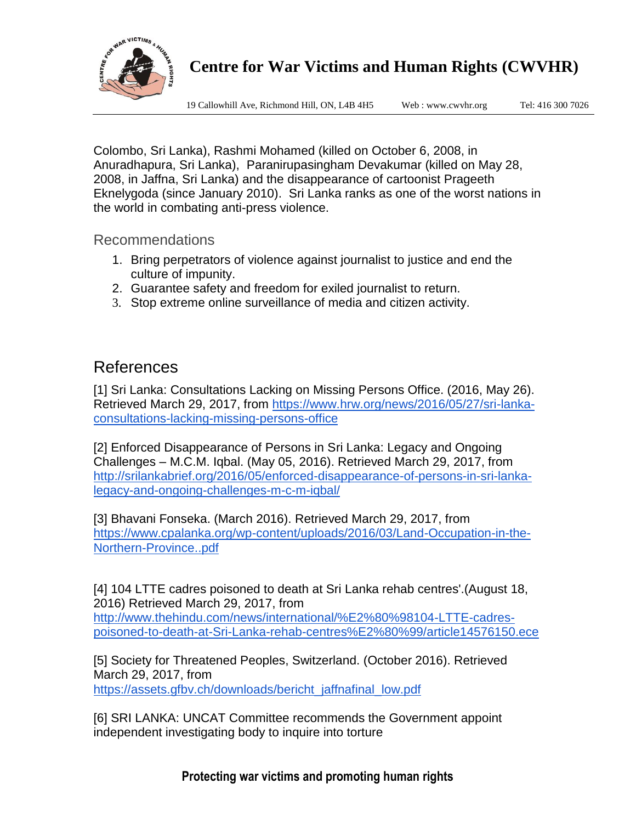

19 Callowhill Ave, Richmond Hill, ON, L4B 4H5 Web : www.cwvhr.org Tel: 416 300 7026

Colombo, Sri Lanka), Rashmi Mohamed (killed on October 6, 2008, in Anuradhapura, Sri Lanka), Paranirupasingham Devakumar (killed on May 28, 2008, in Jaffna, Sri Lanka) and the disappearance of cartoonist Prageeth Eknelygoda (since January 2010). Sri Lanka ranks as one of the worst nations in the world in combating anti-press violence.

Recommendations

- 1. Bring perpetrators of violence against journalist to justice and end the culture of impunity.
- 2. Guarantee safety and freedom for exiled journalist to return.
- 3. Stop extreme online surveillance of media and citizen activity.

#### References

[1] Sri Lanka: Consultations Lacking on Missing Persons Office. (2016, May 26). Retrieved March 29, 2017, from [https://www.hrw.org/news/2016/05/27/sri-lanka](https://www.hrw.org/news/2016/05/27/sri-lanka-consultations-lacking-missing-persons-office)[consultations-lacking-missing-persons-office](https://www.hrw.org/news/2016/05/27/sri-lanka-consultations-lacking-missing-persons-office)

[2] Enforced Disappearance of Persons in Sri Lanka: Legacy and Ongoing Challenges – M.C.M. Iqbal. (May 05, 2016). Retrieved March 29, 2017, from [http://srilankabrief.org/2016/05/enforced-disappearance-of-persons-in-sri-lanka](http://srilankabrief.org/2016/05/enforced-disappearance-of-persons-in-sri-lanka-legacy-and-ongoing-challenges-m-c-m-iqbal/)[legacy-and-ongoing-challenges-m-c-m-iqbal/](http://srilankabrief.org/2016/05/enforced-disappearance-of-persons-in-sri-lanka-legacy-and-ongoing-challenges-m-c-m-iqbal/)

[3] Bhavani Fonseka. (March 2016). Retrieved March 29, 2017, from [https://www.cpalanka.org/wp-content/uploads/2016/03/Land-Occupation-in-the-](https://www.cpalanka.org/wp-content/uploads/2016/03/Land-Occupation-in-the-Northern-Province..pdf)[Northern-Province..pdf](https://www.cpalanka.org/wp-content/uploads/2016/03/Land-Occupation-in-the-Northern-Province..pdf)

[4] 104 LTTE cadres poisoned to death at Sri Lanka rehab centres'.(August 18, 2016) Retrieved March 29, 2017, from

[http://www.thehindu.com/news/international/%E2%80%98104-LTTE-cadres](http://www.thehindu.com/news/international/%E2%80%98104-LTTE-cadres-poisoned-to-death-at-Sri-Lanka-rehab-centres%E2%80%99/article14576150.ece)[poisoned-to-death-at-Sri-Lanka-rehab-centres%E2%80%99/article14576150.ece](http://www.thehindu.com/news/international/%E2%80%98104-LTTE-cadres-poisoned-to-death-at-Sri-Lanka-rehab-centres%E2%80%99/article14576150.ece)

[5] Society for Threatened Peoples, Switzerland. (October 2016). Retrieved March 29, 2017, from

[https://assets.gfbv.ch/downloads/bericht\\_jaffnafinal\\_low.pdf](https://assets.gfbv.ch/downloads/bericht_jaffnafinal_low.pdf)

[6] SRI LANKA: UNCAT Committee recommends the Government appoint independent investigating body to inquire into torture